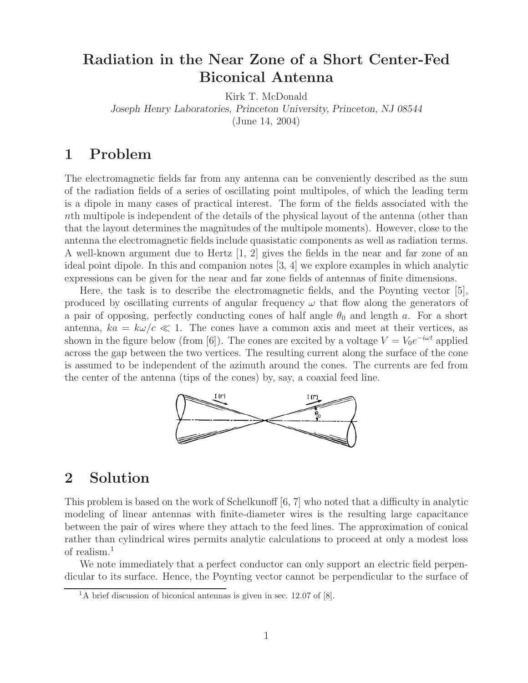# **Radiation in the Near Zone of a Short Center-Fed Biconical Antenna**

Kirk T. McDonald

*Joseph Henry Laboratories, Princeton University, Princeton, NJ 08544*

(June 14, 2004)

# **1 Problem**

The electromagnetic fields far from any antenna can be conveniently described as the sum of the radiation fields of a series of oscillating point multipoles, of which the leading term is a dipole in many cases of practical interest. The form of the fields associated with the nth multipole is independent of the details of the physical layout of the antenna (other than that the layout determines the magnitudes of the multipole moments). However, close to the antenna the electromagnetic fields include quasistatic components as well as radiation terms. A well-known argument due to Hertz [1, 2] gives the fields in the near and far zone of an ideal point dipole. In this and companion notes [3, 4] we explore examples in which analytic expressions can be given for the near and far zone fields of antennas of finite dimensions.

Here, the task is to describe the electromagnetic fields, and the Poynting vector [5], produced by oscillating currents of angular frequency  $\omega$  that flow along the generators of a pair of opposing, perfectly conducting cones of half angle  $\theta_0$  and length a. For a short antenna,  $ka = k\omega/c \ll 1$ . The cones have a common axis and meet at their vertices, as shown in the figure below (from [6]). The cones are excited by a voltage  $V = V_0 e^{-i\omega t}$  applied across the gap between the two vertices. The resulting current along the surface of the cone is assumed to be independent of the azimuth around the cones. The currents are fed from the center of the antenna (tips of the cones) by, say, a coaxial feed line.



## **2 Solution**

This problem is based on the work of Schelkunoff [6, 7] who noted that a difficulty in analytic modeling of linear antennas with finite-diameter wires is the resulting large capacitance between the pair of wires where they attach to the feed lines. The approximation of conical rather than cylindrical wires permits analytic calculations to proceed at only a modest loss of realism.<sup>1</sup>

We note immediately that a perfect conductor can only support an electric field perpendicular to its surface. Hence, the Poynting vector cannot be perpendicular to the surface of

 $1<sup>1</sup>A$  brief discussion of biconical antennas is given in sec. 12.07 of [8].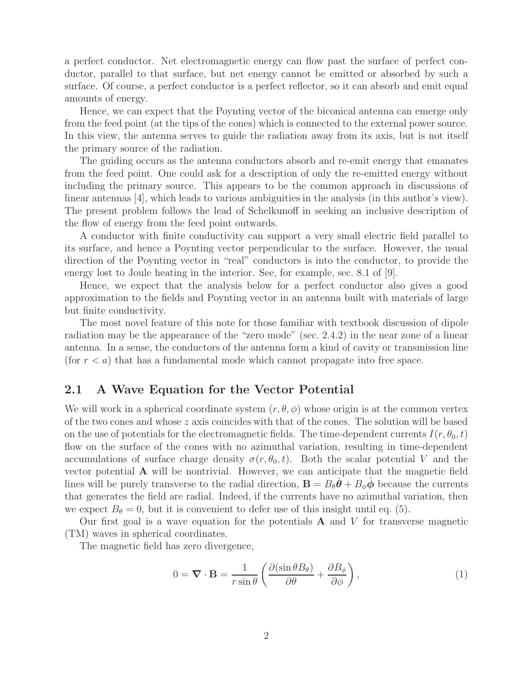a perfect conductor. Net electromagnetic energy can flow past the surface of perfect conductor, parallel to that surface, but net energy cannot be emitted or absorbed by such a surface. Of course, a perfect conductor is a perfect reflector, so it can absorb and emit equal amounts of energy.

Hence, we can expect that the Poynting vector of the biconical antenna can emerge only from the feed point (at the tips of the cones) which is connected to the external power source. In this view, the antenna serves to guide the radiation away from its axis, but is not itself the primary source of the radiation.

The guiding occurs as the antenna conductors absorb and re-emit energy that emanates from the feed point. One could ask for a description of only the re-emitted energy without including the primary source. This appears to be the common approach in discussions of linear antennas [4], which leads to various ambiguities in the analysis (in this author's view). The present problem follows the lead of Schelkunoff in seeking an inclusive description of the flow of energy from the feed point outwards.

A conductor with finite conductivity can support a very small electric field parallel to its surface, and hence a Poynting vector perpendicular to the surface. However, the usual direction of the Poynting vector in "real" conductors is into the conductor, to provide the energy lost to Joule heating in the interior. See, for example, sec. 8.1 of [9].

Hence, we expect that the analysis below for a perfect conductor also gives a good approximation to the fields and Poynting vector in an antenna built with materials of large but finite conductivity.

The most novel feature of this note for those familiar with textbook discussion of dipole radiation may be the appearance of the "zero mode" (sec. 2.4.2) in the near zone of a linear antenna. In a sense, the conductors of the antenna form a kind of cavity or transmission line (for  $r < a$ ) that has a fundamental mode which cannot propagate into free space.

## **2.1 A Wave Equation for the Vector Potential**

We will work in a spherical coordinate system  $(r, \theta, \phi)$  whose origin is at the common vertex of the two cones and whose z axis coincides with that of the cones. The solution will be based on the use of potentials for the electromagnetic fields. The time-dependent currents  $I(r, \theta_0, t)$ flow on the surface of the cones with no azimuthal variation, resulting in time-dependent accumulations of surface charge density  $\sigma(r, \theta_0, t)$ . Both the scalar potential V and the vector potential **A** will be nontrivial. However, we can anticipate that the magnetic field lines will be purely transverse to the radial direction,  $\mathbf{B} = B_{\theta} \theta + B_{\phi} \phi$  because the currents that generates the field are radial. Indeed, if the currents have no azimuthal variation, then we expect  $B_{\theta} = 0$ , but it is convenient to defer use of this insight until eq. (5).

Our first goal is a wave equation for the potentials  $A$  and  $V$  for transverse magnetic (TM) waves in spherical coordinates.

The magnetic field has zero divergence,

$$
0 = \mathbf{\nabla} \cdot \mathbf{B} = \frac{1}{r \sin \theta} \left( \frac{\partial (\sin \theta B_{\theta})}{\partial \theta} + \frac{\partial B_{\phi}}{\partial \phi} \right),\tag{1}
$$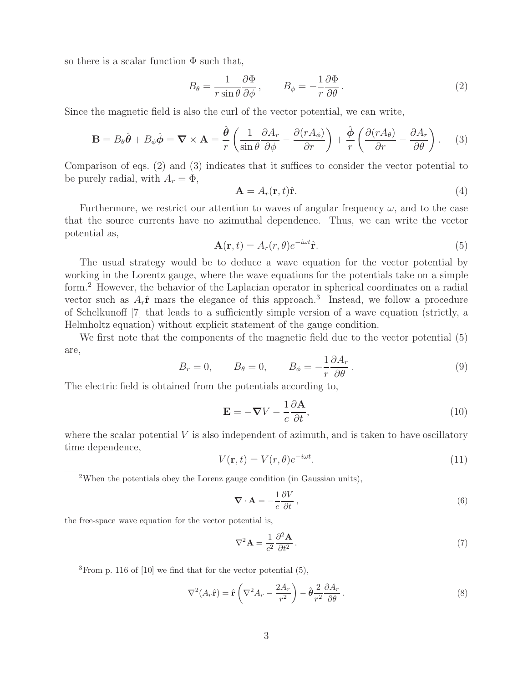so there is a scalar function  $\Phi$  such that,

$$
B_{\theta} = \frac{1}{r \sin \theta} \frac{\partial \Phi}{\partial \phi}, \qquad B_{\phi} = -\frac{1}{r} \frac{\partial \Phi}{\partial \theta}.
$$
 (2)

Since the magnetic field is also the curl of the vector potential, we can write,

$$
\mathbf{B} = B_{\theta}\hat{\boldsymbol{\theta}} + B_{\phi}\hat{\boldsymbol{\phi}} = \boldsymbol{\nabla} \times \mathbf{A} = \frac{\hat{\boldsymbol{\theta}}}{r} \left( \frac{1}{\sin \theta} \frac{\partial A_r}{\partial \phi} - \frac{\partial (r A_{\phi})}{\partial r} \right) + \frac{\hat{\boldsymbol{\phi}}}{r} \left( \frac{\partial (r A_{\theta})}{\partial r} - \frac{\partial A_r}{\partial \theta} \right). \tag{3}
$$

Comparison of eqs. (2) and (3) indicates that it suffices to consider the vector potential to be purely radial, with  $A_r = \Phi$ ,

$$
\mathbf{A} = A_r(\mathbf{r}, t)\hat{\mathbf{r}}.\tag{4}
$$

Furthermore, we restrict our attention to waves of angular frequency  $\omega$ , and to the case that the source currents have no azimuthal dependence. Thus, we can write the vector potential as,

$$
\mathbf{A}(\mathbf{r},t) = A_r(r,\theta)e^{-i\omega t}\hat{\mathbf{r}}.\tag{5}
$$

The usual strategy would be to deduce a wave equation for the vector potential by working in the Lorentz gauge, where the wave equations for the potentials take on a simple form.<sup>2</sup> However, the behavior of the Laplacian operator in spherical coordinates on a radial vector such as  $A_r\hat{\mathbf{r}}$  mars the elegance of this approach.<sup>3</sup> Instead, we follow a procedure of Schelkunoff [7] that leads to a sufficiently simple version of a wave equation (strictly, a Helmholtz equation) without explicit statement of the gauge condition.

We first note that the components of the magnetic field due to the vector potential  $(5)$ are,

$$
B_r = 0, \t B_\theta = 0, \t B_\phi = -\frac{1}{r} \frac{\partial A_r}{\partial \theta}.
$$
\t(9)

The electric field is obtained from the potentials according to,

$$
\mathbf{E} = -\nabla V - \frac{1}{c} \frac{\partial \mathbf{A}}{\partial t},\tag{10}
$$

where the scalar potential  $V$  is also independent of azimuth, and is taken to have oscillatory time dependence,

$$
V(\mathbf{r},t) = V(r,\theta)e^{-i\omega t}.
$$
\n(11)

<sup>2</sup>When the potentials obey the Lorenz gauge condition (in Gaussian units),

$$
\nabla \cdot \mathbf{A} = -\frac{1}{c} \frac{\partial V}{\partial t},\tag{6}
$$

the free-space wave equation for the vector potential is,

$$
\nabla^2 \mathbf{A} = \frac{1}{c^2} \frac{\partial^2 \mathbf{A}}{\partial t^2} \,. \tag{7}
$$

 ${}^{3}$ From p. 116 of [10] we find that for the vector potential (5),

$$
\nabla^2 (A_r \hat{\mathbf{r}}) = \hat{\mathbf{r}} \left( \nabla^2 A_r - \frac{2A_r}{r^2} \right) - \hat{\boldsymbol{\theta}} \frac{2}{r^2} \frac{\partial A_r}{\partial \theta} . \tag{8}
$$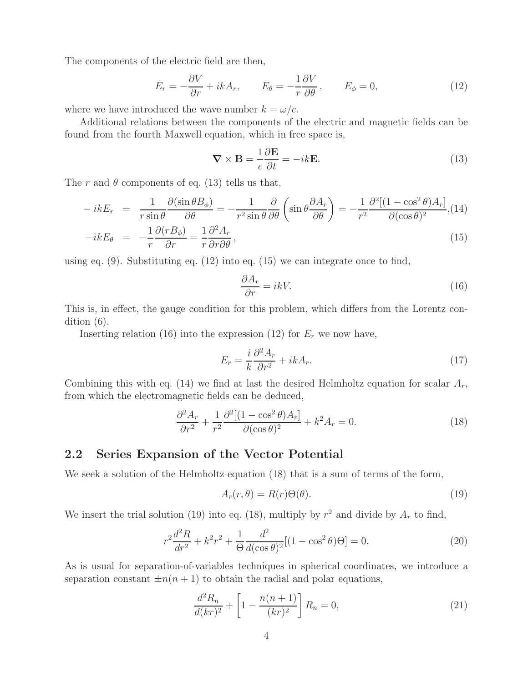The components of the electric field are then,

$$
E_r = -\frac{\partial V}{\partial r} + ikA_r, \qquad E_\theta = -\frac{1}{r}\frac{\partial V}{\partial \theta}, \qquad E_\phi = 0,\tag{12}
$$

where we have introduced the wave number  $k = \omega/c$ .

Additional relations between the components of the electric and magnetic fields can be found from the fourth Maxwell equation, which in free space is,

$$
\nabla \times \mathbf{B} = \frac{1}{c} \frac{\partial \mathbf{E}}{\partial t} = -ik \mathbf{E}.
$$
 (13)

The r and  $\theta$  components of eq. (13) tells us that,

$$
-ikE_r = \frac{1}{r\sin\theta} \frac{\partial(\sin\theta B_{\phi})}{\partial\theta} = -\frac{1}{r^2\sin\theta} \frac{\partial}{\partial\theta} \left(\sin\theta \frac{\partial A_r}{\partial\theta}\right) = -\frac{1}{r^2} \frac{\partial^2 [(1-\cos^2\theta)A_r]}{\partial(\cos\theta)^2}, (14)
$$
  
the

$$
-ikE_{\theta} = -\frac{1}{r}\frac{\partial(rB_{\phi})}{\partial r} = \frac{1}{r}\frac{\partial^2 A_r}{\partial r \partial \theta},
$$
\n(15)

using eq.  $(9)$ . Substituting eq.  $(12)$  into eq.  $(15)$  we can integrate once to find,

$$
\frac{\partial A_r}{\partial r} = ikV.\tag{16}
$$

This is, in effect, the gauge condition for this problem, which differs from the Lorentz condition (6).

Inserting relation (16) into the expression (12) for  $E_r$  we now have,

$$
E_r = \frac{i}{k} \frac{\partial^2 A_r}{\partial r^2} + ikA_r.
$$
\n(17)

Combining this with eq. (14) we find at last the desired Helmholtz equation for scalar  $A_r$ , from which the electromagnetic fields can be deduced,

$$
\frac{\partial^2 A_r}{\partial r^2} + \frac{1}{r^2} \frac{\partial^2 [(1 - \cos^2 \theta) A_r]}{\partial (\cos \theta)^2} + k^2 A_r = 0.
$$
 (18)

## **2.2 Series Expansion of the Vector Potential**

We seek a solution of the Helmholtz equation (18) that is a sum of terms of the form,

$$
A_r(r,\theta) = R(r)\Theta(\theta). \tag{19}
$$

We insert the trial solution (19) into eq. (18), multiply by  $r^2$  and divide by  $A_r$  to find,

$$
r^{2}\frac{d^{2}R}{dr^{2}} + k^{2}r^{2} + \frac{1}{\Theta}\frac{d^{2}}{d(\cos\theta)^{2}}[(1-\cos^{2}\theta)\Theta] = 0.
$$
 (20)

As is usual for separation-of-variables techniques in spherical coordinates, we introduce a separation constant  $\pm n(n+1)$  to obtain the radial and polar equations,

$$
\frac{d^2 R_n}{d(kr)^2} + \left[1 - \frac{n(n+1)}{(kr)^2}\right] R_n = 0,
$$
\n(21)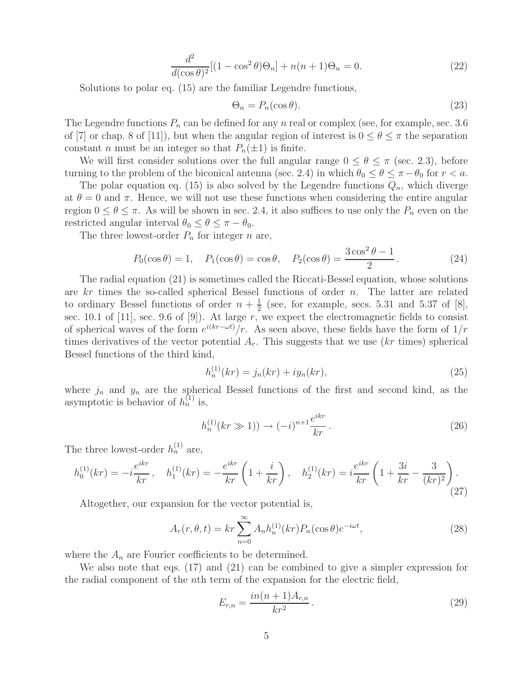$$
\frac{d^2}{d(\cos \theta)^2}[(1-\cos^2 \theta)\Theta_n] + n(n+1)\Theta_n = 0.
$$
\n(22)

Solutions to polar eq. (15) are the familiar Legendre functions,

$$
\Theta_n = P_n(\cos \theta). \tag{23}
$$

The Legendre functions  $P_n$  can be defined for any n real or complex (see, for example, sec. 3.6) of [7] or chap. 8 of [11]), but when the angular region of interest is  $0 \le \theta \le \pi$  the separation constant *n* must be an integer so that  $P_n(\pm 1)$  is finite.

We will first consider solutions over the full angular range  $0 \le \theta \le \pi$  (sec. 2.3), before turning to the problem of the biconical antenna (sec. 2.4) in which  $\theta_0 \leq \theta \leq \pi - \theta_0$  for  $r < a$ .

The polar equation eq. (15) is also solved by the Legendre functions  $Q_n$ , which diverge at  $\theta = 0$  and  $\pi$ . Hence, we will not use these functions when considering the entire angular region  $0 \le \theta \le \pi$ . As will be shown in sec. 2.4, it also suffices to use only the  $P_n$  even on the restricted angular interval  $\theta_0 \leq \theta \leq \pi - \theta_0$ .

The three lowest-order  $P_n$  for integer n are,

$$
P_0(\cos \theta) = 1, \quad P_1(\cos \theta) = \cos \theta, \quad P_2(\cos \theta) = \frac{3\cos^2 \theta - 1}{2}.
$$
 (24)

The radial equation (21) is sometimes called the Riccati-Bessel equation, whose solutions are  $kr$  times the so-called spherical Bessel functions of order n. The latter are related to ordinary Bessel functions of order  $n + \frac{1}{2}$  (see, for example, secs. 5.31 and 5.37 of [8], sec. 10.1 of [11], sec. 9.6 of [9]). At large r, we expect the electromagnetic fields to consist of spherical waves of the form  $e^{i(kr-\omega t)}$  *r*. As seen above, these fields have the form of  $1/r$ times derivatives of the vector potential  $A_r$ . This suggests that we use  $(kr$  times) spherical Bessel functions of the third kind,

$$
h_n^{(1)}(kr) = j_n(kr) + iy_n(kr),
$$
\n(25)

where  $j_n$  and  $y_n$  are the spherical Bessel functions of the first and second kind, as the asymptotic is behavior of  $h_n^{(1)}$  is,

$$
h_n^{(1)}(kr \gg 1)) \to (-i)^{n+1} \frac{e^{ikr}}{kr} \,. \tag{26}
$$

The three lowest-order  $h_n^{(1)}$  are,

$$
h_0^{(1)}(kr) = -i\frac{e^{ikr}}{kr}, \quad h_1^{(1)}(kr) = -\frac{e^{ikr}}{kr}\left(1 + \frac{i}{kr}\right), \quad h_2^{(1)}(kr) = i\frac{e^{ikr}}{kr}\left(1 + \frac{3i}{kr} - \frac{3}{(kr)^2}\right).
$$
\n(27)

Altogether, our expansion for the vector potential is,

$$
A_r(r, \theta, t) = kr \sum_{n=0}^{\infty} A_n h_n^{(1)}(kr) P_n(\cos \theta) e^{-i\omega t},
$$
\n(28)

where the  $A_n$  are Fourier coefficients to be determined.

We also note that eqs. (17) and (21) can be combined to give a simpler expression for the radial component of the nth term of the expansion for the electric field,

$$
E_{r,n} = \frac{in(n+1)A_{r,n}}{kr^2}.
$$
\n(29)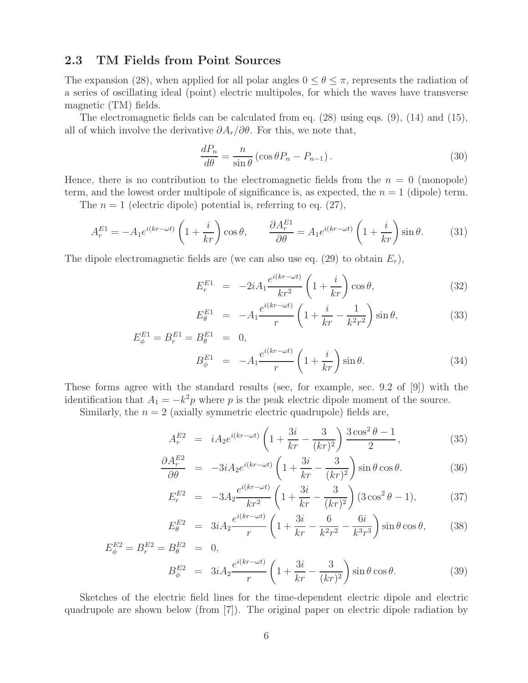## **2.3 TM Fields from Point Sources**

The expansion (28), when applied for all polar angles  $0 \le \theta \le \pi$ , represents the radiation of a series of oscillating ideal (point) electric multipoles, for which the waves have transverse magnetic (TM) fields.

The electromagnetic fields can be calculated from eq. (28) using eqs. (9), (14) and (15), all of which involve the derivative  $\partial A_r/\partial \theta$ . For this, we note that,

$$
\frac{dP_n}{d\theta} = \frac{n}{\sin \theta} \left( \cos \theta P_n - P_{n-1} \right). \tag{30}
$$

Hence, there is no contribution to the electromagnetic fields from the  $n = 0$  (monopole) term, and the lowest order multipole of significance is, as expected, the  $n = 1$  (dipole) term.

The  $n = 1$  (electric dipole) potential is, referring to eq. (27),

$$
A_r^{E1} = -A_1 e^{i(kr - \omega t)} \left( 1 + \frac{i}{kr} \right) \cos \theta, \qquad \frac{\partial A_r^{E1}}{\partial \theta} = A_1 e^{i(kr - \omega t)} \left( 1 + \frac{i}{kr} \right) \sin \theta. \tag{31}
$$

The dipole electromagnetic fields are (we can also use eq. (29) to obtain  $E_r$ ),

$$
E_r^{E1} = -2iA_1 \frac{e^{i(kr - \omega t)}}{kr^2} \left(1 + \frac{i}{kr}\right) \cos \theta, \tag{32}
$$

$$
E_{\theta}^{E1} = -A_1 \frac{e^{i(kr - \omega t)}}{r} \left( 1 + \frac{i}{kr} - \frac{1}{k^2 r^2} \right) \sin \theta, \tag{33}
$$

$$
E_{\phi}^{E1} = B_{r}^{E1} = B_{\theta}^{E1} = 0, B_{\phi}^{E1} = -A_{1} \frac{e^{i(kr - \omega t)}}{r} \left(1 + \frac{i}{kr}\right) \sin \theta.
$$
 (34)

These forms agree with the standard results (see, for example, sec. 9.2 of [9]) with the identification that  $A_1 = -k^2p$  where p is the peak electric dipole moment of the source.

Similarly, the  $n = 2$  (axially symmetric electric quadrupole) fields are,

$$
A_r^{E2} = iA_2 e^{i(kr - \omega t)} \left( 1 + \frac{3i}{kr} - \frac{3}{(kr)^2} \right) \frac{3\cos^2\theta - 1}{2},
$$
 (35)

$$
\frac{\partial A_r^{E2}}{\partial \theta} = -3iA_2 e^{i(kr - \omega t)} \left( 1 + \frac{3i}{kr} - \frac{3}{(kr)^2} \right) \sin \theta \cos \theta.
$$
 (36)

$$
E_r^{E2} = -3A_2 \frac{e^{i(kr - \omega t)}}{kr^2} \left(1 + \frac{3i}{kr} - \frac{3}{(kr)^2}\right) (3\cos^2\theta - 1),\tag{37}
$$

$$
E_{\theta}^{E2} = 3iA_2 \frac{e^{i(kr - \omega t)}}{r} \left( 1 + \frac{3i}{kr} - \frac{6}{k^2 r^2} - \frac{6i}{k^3 r^3} \right) \sin \theta \cos \theta, \qquad (38)
$$

$$
E_{\phi}^{E2} = B_{r}^{E2} = B_{\theta}^{E2} = 0,
$$
  
\n
$$
B_{\phi}^{E2} = 3iA_{2} \frac{e^{i(kr - \omega t)}}{r} \left(1 + \frac{3i}{kr} - \frac{3}{(kr)^{2}}\right) \sin \theta \cos \theta.
$$
 (39)

Sketches of the electric field lines for the time-dependent electric dipole and electric quadrupole are shown below (from [7]). The original paper on electric dipole radiation by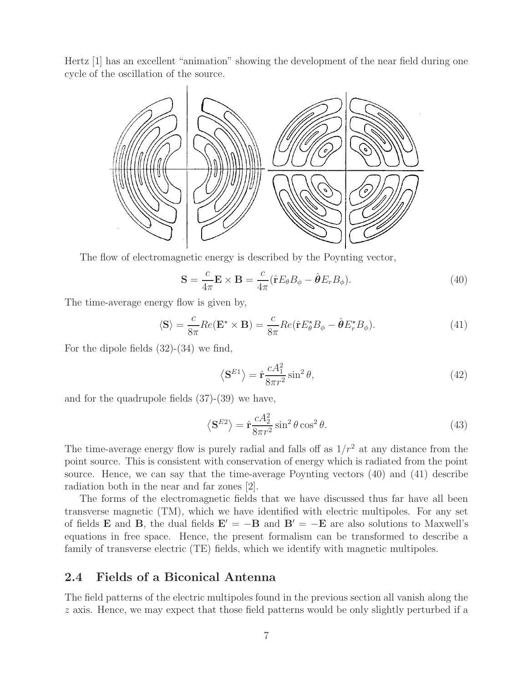Hertz [1] has an excellent "animation" showing the development of the near field during one cycle of the oscillation of the source.



The flow of electromagnetic energy is described by the Poynting vector,

$$
\mathbf{S} = \frac{c}{4\pi} \mathbf{E} \times \mathbf{B} = \frac{c}{4\pi} (\hat{\mathbf{r}} E_{\theta} B_{\phi} - \hat{\boldsymbol{\theta}} E_{r} B_{\phi}). \tag{40}
$$

The time-average energy flow is given by,

$$
\langle \mathbf{S} \rangle = \frac{c}{8\pi} Re(\mathbf{E}^* \times \mathbf{B}) = \frac{c}{8\pi} Re(\hat{\mathbf{r}} E_{\theta}^* B_{\phi} - \hat{\boldsymbol{\theta}} E_r^* B_{\phi}). \tag{41}
$$

For the dipole fields (32)-(34) we find,

$$
\langle \mathbf{S}^{E1} \rangle = \hat{\mathbf{r}} \frac{c A_1^2}{8\pi r^2} \sin^2 \theta,\tag{42}
$$

and for the quadrupole fields (37)-(39) we have,

$$
\langle \mathbf{S}^{E2} \rangle = \hat{\mathbf{r}} \frac{c A_2^2}{8\pi r^2} \sin^2 \theta \cos^2 \theta.
$$
 (43)

The time-average energy flow is purely radial and falls off as  $1/r^2$  at any distance from the point source. This is consistent with conservation of energy which is radiated from the point source. Hence, we can say that the time-average Poynting vectors (40) and (41) describe radiation both in the near and far zones [2].

The forms of the electromagnetic fields that we have discussed thus far have all been transverse magnetic (TM), which we have identified with electric multipoles. For any set of fields **E** and **B**, the dual fields  $\mathbf{E}' = -\mathbf{B}$  and  $\mathbf{B}' = -\mathbf{E}$  are also solutions to Maxwell's equations in free space. Hence, the present formalism can be transformed to describe a family of transverse electric (TE) fields, which we identify with magnetic multipoles.

## **2.4 Fields of a Biconical Antenna**

The field patterns of the electric multipoles found in the previous section all vanish along the z axis. Hence, we may expect that those field patterns would be only slightly perturbed if a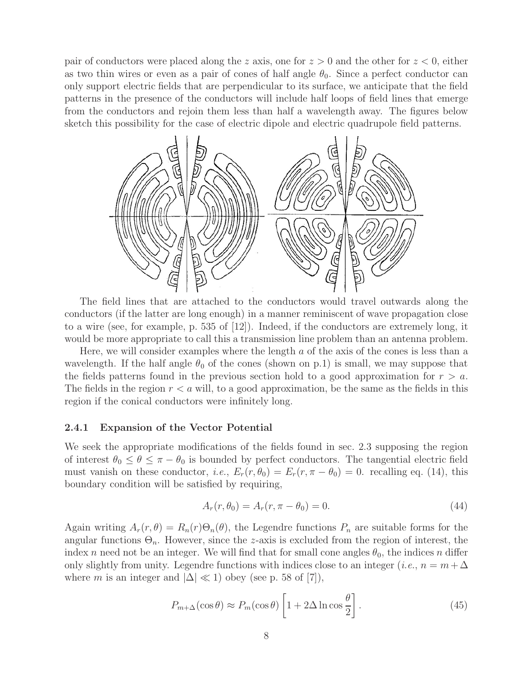pair of conductors were placed along the z axis, one for  $z > 0$  and the other for  $z < 0$ , either as two thin wires or even as a pair of cones of half angle  $\theta_0$ . Since a perfect conductor can only support electric fields that are perpendicular to its surface, we anticipate that the field patterns in the presence of the conductors will include half loops of field lines that emerge from the conductors and rejoin them less than half a wavelength away. The figures below sketch this possibility for the case of electric dipole and electric quadrupole field patterns.



The field lines that are attached to the conductors would travel outwards along the conductors (if the latter are long enough) in a manner reminiscent of wave propagation close to a wire (see, for example, p. 535 of [12]). Indeed, if the conductors are extremely long, it would be more appropriate to call this a transmission line problem than an antenna problem.

Here, we will consider examples where the length  $a$  of the axis of the cones is less than a wavelength. If the half angle  $\theta_0$  of the cones (shown on p.1) is small, we may suppose that the fields patterns found in the previous section hold to a good approximation for  $r > a$ . The fields in the region  $r < a$  will, to a good approximation, be the same as the fields in this region if the conical conductors were infinitely long.

#### **2.4.1 Expansion of the Vector Potential**

We seek the appropriate modifications of the fields found in sec. 2.3 supposing the region of interest  $\theta_0 \leq \theta \leq \pi - \theta_0$  is bounded by perfect conductors. The tangential electric field must vanish on these conductor, *i.e.*,  $E_r(r, \theta_0) = E_r(r, \pi - \theta_0) = 0$ . recalling eq. (14), this boundary condition will be satisfied by requiring,

$$
A_r(r, \theta_0) = A_r(r, \pi - \theta_0) = 0.
$$
\n(44)

Again writing  $A_r(r, \theta) = R_n(r) \Theta_n(\theta)$ , the Legendre functions  $P_n$  are suitable forms for the angular functions  $\Theta_n$ . However, since the z-axis is excluded from the region of interest, the index n need not be an integer. We will find that for small cone angles  $\theta_0$ , the indices n differ only slightly from unity. Legendre functions with indices close to an integer (*i.e.*,  $n = m + \Delta$ where m is an integer and  $|\Delta| \ll 1$ ) obey (see p. 58 of [7]),

$$
P_{m+\Delta}(\cos\theta) \approx P_m(\cos\theta) \left[ 1 + 2\Delta \ln \cos\frac{\theta}{2} \right].
$$
 (45)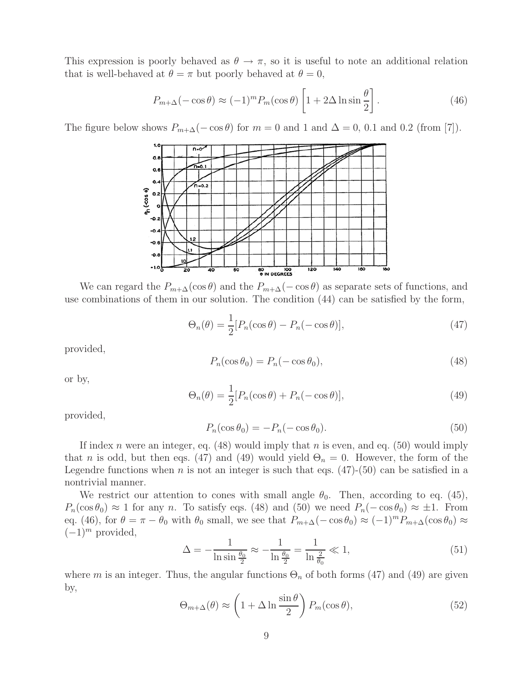This expression is poorly behaved as  $\theta \to \pi$ , so it is useful to note an additional relation that is well-behaved at  $\theta = \pi$  but poorly behaved at  $\theta = 0$ ,

$$
P_{m+\Delta}(-\cos\theta) \approx (-1)^m P_m(\cos\theta) \left[1 + 2\Delta \ln \sin\frac{\theta}{2}\right].
$$
 (46)

The figure below shows  $P_{m+\Delta}(-\cos\theta)$  for  $m=0$  and 1 and  $\Delta=0$ , 0.1 and 0.2 (from [7]).



We can regard the  $P_{m+\Delta}(\cos\theta)$  and the  $P_{m+\Delta}(-\cos\theta)$  as separate sets of functions, and use combinations of them in our solution. The condition (44) can be satisfied by the form,

$$
\Theta_n(\theta) = \frac{1}{2} [P_n(\cos \theta) - P_n(-\cos \theta)],\tag{47}
$$

provided,

$$
P_n(\cos \theta_0) = P_n(-\cos \theta_0),\tag{48}
$$

or by,

$$
\Theta_n(\theta) = \frac{1}{2} [P_n(\cos \theta) + P_n(-\cos \theta)],\tag{49}
$$

provided,

$$
P_n(\cos \theta_0) = -P_n(-\cos \theta_0). \tag{50}
$$

If index n were an integer, eq.  $(48)$  would imply that n is even, and eq.  $(50)$  would imply that n is odd, but then eqs. (47) and (49) would yield  $\Theta_n = 0$ . However, the form of the Legendre functions when n is not an integer is such that eqs.  $(47)-(50)$  can be satisfied in a nontrivial manner.

We restrict our attention to cones with small angle  $\theta_0$ . Then, according to eq. (45),  $P_n(\cos \theta_0) \approx 1$  for any n. To satisfy eqs. (48) and (50) we need  $P_n(-\cos \theta_0) \approx \pm 1$ . From eq. (46), for  $\theta = \pi - \theta_0$  with  $\theta_0$  small, we see that  $P_{m+\Delta}(-\cos\theta_0) \approx (-1)^m P_{m+\Delta}(\cos\theta_0) \approx$  $(-1)^m$  provided,

$$
\Delta = -\frac{1}{\ln \sin \frac{\theta_0}{2}} \approx -\frac{1}{\ln \frac{\theta_0}{2}} = \frac{1}{\ln \frac{2}{\theta_0}} \ll 1,
$$
\n(51)

where m is an integer. Thus, the angular functions  $\Theta_n$  of both forms (47) and (49) are given by,

$$
\Theta_{m+\Delta}(\theta) \approx \left(1 + \Delta \ln \frac{\sin \theta}{2}\right) P_m(\cos \theta),\tag{52}
$$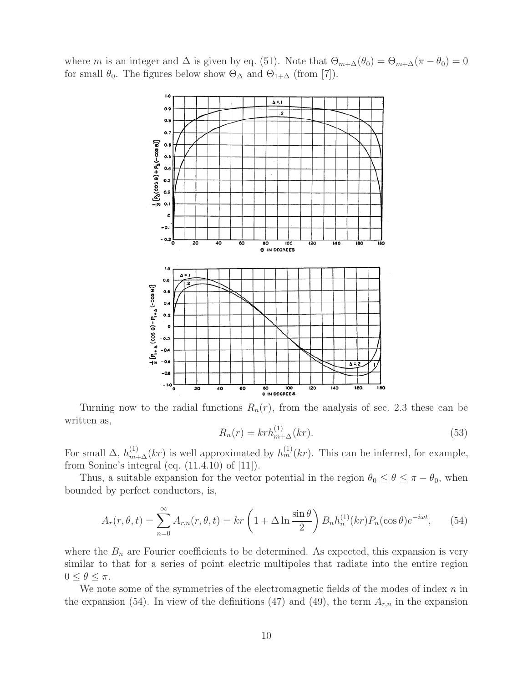where m is an integer and  $\Delta$  is given by eq. (51). Note that  $\Theta_{m+\Delta}(\theta_0)=\Theta_{m+\Delta}(\pi-\theta_0)=0$ for small  $\theta_0$ . The figures below show  $\Theta_{\Delta}$  and  $\Theta_{1+\Delta}$  (from [7]).



Turning now to the radial functions  $R_n(r)$ , from the analysis of sec. 2.3 these can be written as,

$$
R_n(r) = krh_{m+\Delta}^{(1)}(kr).
$$
\n(53)

For small  $\Delta$ ,  $h_{m+\Delta}^{(1)}(kr)$  is well approximated by  $h_m^{(1)}(kr)$ . This can be inferred, for example, from Sonine's integral (eq. (11.4.10) of [11]).

Thus, a suitable expansion for the vector potential in the region  $\theta_0 \leq \theta \leq \pi - \theta_0$ , when bounded by perfect conductors, is,

$$
A_r(r,\theta,t) = \sum_{n=0}^{\infty} A_{r,n}(r,\theta,t) = kr \left(1 + \Delta \ln \frac{\sin \theta}{2}\right) B_n h_n^{(1)}(kr) P_n(\cos \theta) e^{-i\omega t},\qquad(54)
$$

where the  $B_n$  are Fourier coefficients to be determined. As expected, this expansion is very similar to that for a series of point electric multipoles that radiate into the entire region  $0 \leq \theta \leq \pi$ .

We note some of the symmetries of the electromagnetic fields of the modes of index  $n$  in the expansion (54). In view of the definitions (47) and (49), the term  $A_{r,n}$  in the expansion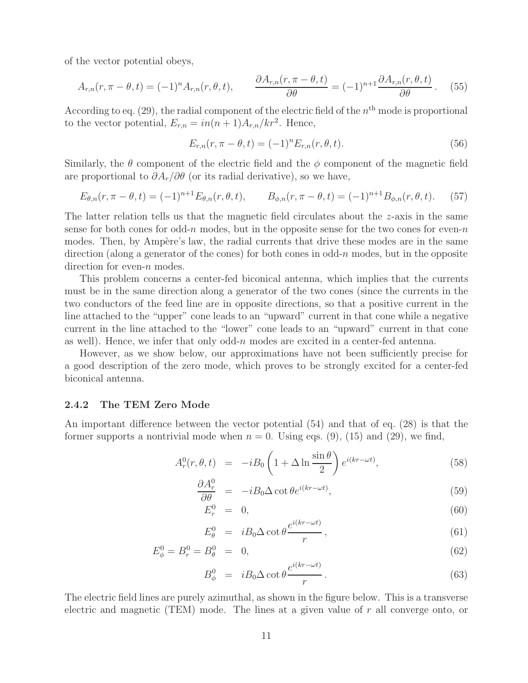of the vector potential obeys,

$$
A_{r,n}(r,\pi-\theta,t) = (-1)^n A_{r,n}(r,\theta,t), \qquad \frac{\partial A_{r,n}(r,\pi-\theta,t)}{\partial \theta} = (-1)^{n+1} \frac{\partial A_{r,n}(r,\theta,t)}{\partial \theta}. \tag{55}
$$

According to eq. (29), the radial component of the electric field of the  $n<sup>th</sup>$  mode is proportional to the vector potential,  $E_{r,n} = in(n+1)A_{r,n}/kr^2$ . Hence,

$$
E_{r,n}(r, \pi - \theta, t) = (-1)^n E_{r,n}(r, \theta, t).
$$
\n(56)

Similarly, the  $\theta$  component of the electric field and the  $\phi$  component of the magnetic field are proportional to  $\partial A_r/\partial \theta$  (or its radial derivative), so we have,

$$
E_{\theta,n}(r,\pi-\theta,t) = (-1)^{n+1} E_{\theta,n}(r,\theta,t), \qquad B_{\phi,n}(r,\pi-\theta,t) = (-1)^{n+1} B_{\phi,n}(r,\theta,t). \tag{57}
$$

The latter relation tells us that the magnetic field circulates about the  $z$ -axis in the same sense for both cones for odd-n modes, but in the opposite sense for the two cones for even-n modes. Then, by Ampère's law, the radial currents that drive these modes are in the same direction (along a generator of the cones) for both cones in odd-n modes, but in the opposite direction for even-*n* modes.

This problem concerns a center-fed biconical antenna, which implies that the currents must be in the same direction along a generator of the two cones (since the currents in the two conductors of the feed line are in opposite directions, so that a positive current in the line attached to the "upper" cone leads to an "upward" current in that cone while a negative current in the line attached to the "lower" cone leads to an "upward" current in that cone as well). Hence, we infer that only odd-n modes are excited in a center-fed antenna.

However, as we show below, our approximations have not been sufficiently precise for a good description of the zero mode, which proves to be strongly excited for a center-fed biconical antenna.

### **2.4.2 The TEM Zero Mode**

An important difference between the vector potential (54) and that of eq. (28) is that the former supports a nontrivial mode when  $n = 0$ . Using eqs. (9), (15) and (29), we find,

$$
A_r^0(r, \theta, t) = -iB_0 \left(1 + \Delta \ln \frac{\sin \theta}{2}\right) e^{i(kr - \omega t)}, \tag{58}
$$

$$
\frac{\partial A_r^0}{\partial \theta} = -iB_0 \Delta \cot \theta e^{i(kr - \omega t)}, \qquad (59)
$$

$$
E_r^0 = 0,\t\t(60)
$$

$$
E_{\theta}^{0} = iB_{0}\Delta \cot \theta \frac{e^{i(kr - \omega t)}}{r}, \qquad (61)
$$

$$
E_{\phi}^{0} = B_{r}^{0} = B_{\theta}^{0} = 0, \tag{62}
$$

$$
B_{\phi}^{0} = iB_{0}\Delta \cot \theta \frac{e^{i(kr-\omega t)}}{r}.
$$
 (63)

The electric field lines are purely azimuthal, as shown in the figure below. This is a transverse electric and magnetic (TEM) mode. The lines at a given value of r all converge onto, or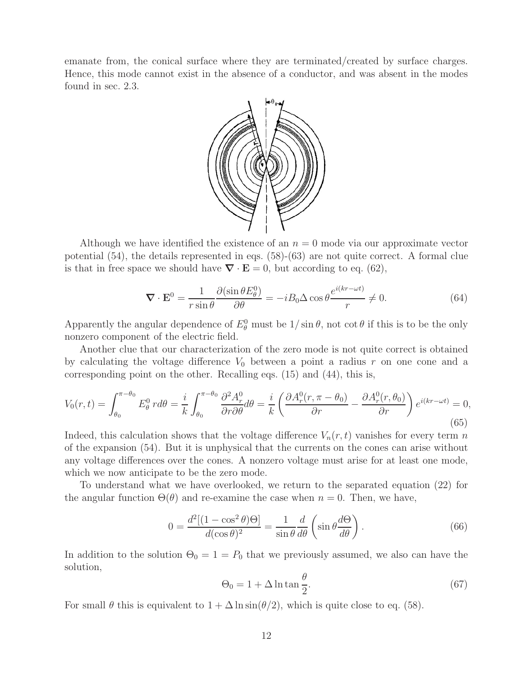emanate from, the conical surface where they are terminated/created by surface charges. Hence, this mode cannot exist in the absence of a conductor, and was absent in the modes found in sec. 2.3.



Although we have identified the existence of an  $n = 0$  mode via our approximate vector potential (54), the details represented in eqs. (58)-(63) are not quite correct. A formal clue is that in free space we should have  $\nabla \cdot \mathbf{E} = 0$ , but according to eq. (62),

$$
\nabla \cdot \mathbf{E}^0 = \frac{1}{r \sin \theta} \frac{\partial (\sin \theta E^0_{\theta})}{\partial \theta} = -i B_0 \Delta \cos \theta \frac{e^{i(kr - \omega t)}}{r} \neq 0.
$$
 (64)

Apparently the angular dependence of  $E^0_\theta$  must be  $1/\sin\theta$ , not cot  $\theta$  if this is to be the only nonzero component of the electric field.

Another clue that our characterization of the zero mode is not quite correct is obtained by calculating the voltage difference  $V_0$  between a point a radius r on one cone and a corresponding point on the other. Recalling eqs. (15) and (44), this is,

$$
V_0(r,t) = \int_{\theta_0}^{\pi-\theta_0} E_\theta^0 r d\theta = \frac{i}{k} \int_{\theta_0}^{\pi-\theta_0} \frac{\partial^2 A_r^0}{\partial r \partial \theta} d\theta = \frac{i}{k} \left( \frac{\partial A_r^0(r, \pi - \theta_0)}{\partial r} - \frac{\partial A_r^0(r, \theta_0)}{\partial r} \right) e^{i(kr - \omega t)} = 0,
$$
\n(65)

Indeed, this calculation shows that the voltage difference  $V_n(r, t)$  vanishes for every term n of the expansion (54). But it is unphysical that the currents on the cones can arise without any voltage differences over the cones. A nonzero voltage must arise for at least one mode, which we now anticipate to be the zero mode.

To understand what we have overlooked, we return to the separated equation (22) for the angular function  $\Theta(\theta)$  and re-examine the case when  $n = 0$ . Then, we have,

$$
0 = \frac{d^2[(1 - \cos^2 \theta)\Theta]}{d(\cos \theta)^2} = \frac{1}{\sin \theta} \frac{d}{d\theta} \left( \sin \theta \frac{d\Theta}{d\theta} \right).
$$
 (66)

In addition to the solution  $\Theta_0 = 1 = P_0$  that we previously assumed, we also can have the solution,

$$
\Theta_0 = 1 + \Delta \ln \tan \frac{\theta}{2}.\tag{67}
$$

For small  $\theta$  this is equivalent to  $1 + \Delta \ln \sin(\theta/2)$ , which is quite close to eq. (58).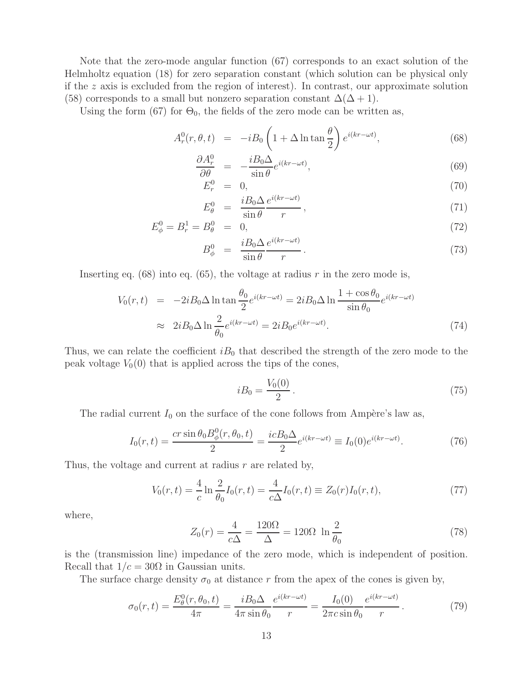Note that the zero-mode angular function (67) corresponds to an exact solution of the Helmholtz equation (18) for zero separation constant (which solution can be physical only if the  $z$  axis is excluded from the region of interest). In contrast, our approximate solution (58) corresponds to a small but nonzero separation constant  $\Delta(\Delta + 1)$ .

Using the form (67) for  $\Theta_0$ , the fields of the zero mode can be written as,

$$
A_r^0(r, \theta, t) = -iB_0 \left(1 + \Delta \ln \tan \frac{\theta}{2}\right) e^{i(kr - \omega t)}, \tag{68}
$$

$$
\frac{\partial A_r^0}{\partial \theta} = -\frac{iB_0 \Delta}{\sin \theta} e^{i(kr - \omega t)},\tag{69}
$$

$$
E_r^0 = 0,\t\t(70)
$$

$$
E_{\theta}^{0} = \frac{iB_0 \Delta}{\sin \theta} \frac{e^{i(kr - \omega t)}}{r}, \qquad (71)
$$

$$
E_{\phi}^{0} = B_{r}^{1} = B_{\theta}^{0} = 0, \tag{72}
$$

$$
B_{\phi}^{0} = \frac{i B_0 \Delta}{\sin \theta} \frac{e^{i(kr - \omega t)}}{r}.
$$
\n(73)

Inserting eq.  $(68)$  into eq.  $(65)$ , the voltage at radius r in the zero mode is,

$$
V_0(r,t) = -2iB_0 \Delta \ln \tan \frac{\theta_0}{2} e^{i(kr - \omega t)} = 2iB_0 \Delta \ln \frac{1 + \cos \theta_0}{\sin \theta_0} e^{i(kr - \omega t)}
$$
  

$$
\approx 2iB_0 \Delta \ln \frac{2}{\theta_0} e^{i(kr - \omega t)} = 2iB_0 e^{i(kr - \omega t)}.
$$
 (74)

Thus, we can relate the coefficient  $iB_0$  that described the strength of the zero mode to the peak voltage  $V_0(0)$  that is applied across the tips of the cones,

$$
iB_0 = \frac{V_0(0)}{2} \,. \tag{75}
$$

The radial current  $I_0$  on the surface of the cone follows from Ampère's law as,

$$
I_0(r,t) = \frac{cr\sin\theta_0 B_\phi^0(r,\theta_0,t)}{2} = \frac{icB_0\Delta}{2}e^{i(kr-\omega t)} \equiv I_0(0)e^{i(kr-\omega t)}.\tag{76}
$$

Thus, the voltage and current at radius  $r$  are related by,

$$
V_0(r,t) = \frac{4}{c} \ln \frac{2}{\theta_0} I_0(r,t) = \frac{4}{c\Delta} I_0(r,t) \equiv Z_0(r) I_0(r,t), \qquad (77)
$$

where,

$$
Z_0(r) = \frac{4}{c\Delta} = \frac{120\Omega}{\Delta} = 120\Omega \ln \frac{2}{\theta_0}
$$
 (78)

is the (transmission line) impedance of the zero mode, which is independent of position. Recall that  $1/c = 30\Omega$  in Gaussian units.

The surface charge density  $\sigma_0$  at distance r from the apex of the cones is given by,

$$
\sigma_0(r,t) = \frac{E_\theta^0(r,\theta_0,t)}{4\pi} = \frac{iB_0\Delta}{4\pi\sin\theta_0} \frac{e^{i(kr-\omega t)}}{r} = \frac{I_0(0)}{2\pi c\sin\theta_0} \frac{e^{i(kr-\omega t)}}{r}.
$$
 (79)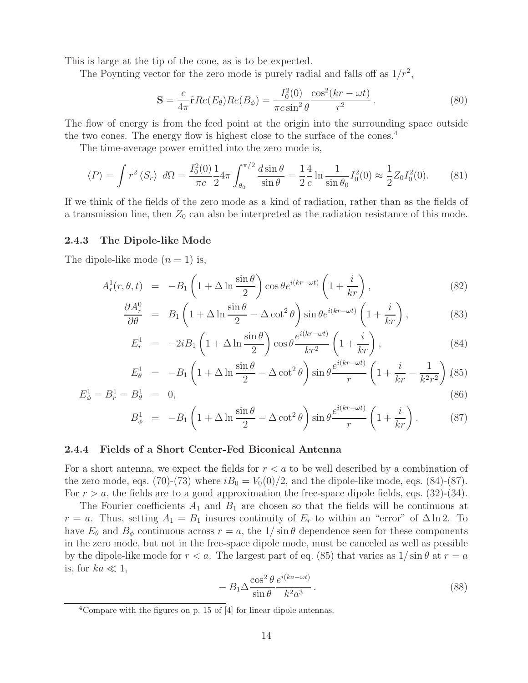This is large at the tip of the cone, as is to be expected.

The Poynting vector for the zero mode is purely radial and falls off as  $1/r^2$ ,

$$
\mathbf{S} = \frac{c}{4\pi} \hat{\mathbf{r}} Re(E_{\theta}) Re(B_{\phi}) = \frac{I_0^2(0)}{\pi c \sin^2 \theta} \frac{\cos^2(kr - \omega t)}{r^2}.
$$
 (80)

The flow of energy is from the feed point at the origin into the surrounding space outside the two cones. The energy flow is highest close to the surface of the cones.<sup>4</sup>

The time-average power emitted into the zero mode is,

$$
\langle P \rangle = \int r^2 \langle S_r \rangle \, d\Omega = \frac{I_0^2(0)}{\pi c} \frac{1}{2} 4\pi \int_{\theta_0}^{\pi/2} \frac{d \sin \theta}{\sin \theta} = \frac{1}{2} \frac{4}{c} \ln \frac{1}{\sin \theta_0} I_0^2(0) \approx \frac{1}{2} Z_0 I_0^2(0). \tag{81}
$$

If we think of the fields of the zero mode as a kind of radiation, rather than as the fields of a transmission line, then  $Z_0$  can also be interpreted as the radiation resistance of this mode.

#### **2.4.3 The Dipole-like Mode**

The dipole-like mode  $(n = 1)$  is,

$$
A_r^1(r, \theta, t) = -B_1 \left( 1 + \Delta \ln \frac{\sin \theta}{2} \right) \cos \theta e^{i(kr - \omega t)} \left( 1 + \frac{i}{kr} \right),\tag{82}
$$

$$
\frac{\partial A_r^0}{\partial \theta} = B_1 \left( 1 + \Delta \ln \frac{\sin \theta}{2} - \Delta \cot^2 \theta \right) \sin \theta e^{i(kr - \omega t)} \left( 1 + \frac{i}{kr} \right),\tag{83}
$$

$$
E_r^1 = -2iB_1 \left( 1 + \Delta \ln \frac{\sin \theta}{2} \right) \cos \theta \frac{e^{i(kr - \omega t)}}{kr^2} \left( 1 + \frac{i}{kr} \right),\tag{84}
$$

$$
E_{\theta}^{1} = -B_{1} \left( 1 + \Delta \ln \frac{\sin \theta}{2} - \Delta \cot^{2} \theta \right) \sin \theta \frac{e^{i(kr - \omega t)}}{r} \left( 1 + \frac{i}{kr} - \frac{1}{k^{2}r^{2}} \right), (85)
$$

$$
E_{\phi}^{1} = B_{r}^{1} = B_{\theta}^{1} = 0,
$$
\n
$$
B_{\phi}^{1} = -B_{1} \left( 1 + \Delta \ln \frac{\sin \theta}{\rho} - \Delta \cot^{2} \theta \right) \sin \theta \frac{e^{i(kr - \omega t)}}{r} \left( 1 + \frac{i}{r} \right).
$$
\n(86)

$$
B_{\phi}^{1} = -B_{1} \left( 1 + \Delta \ln \frac{\sin \theta}{2} - \Delta \cot^{2} \theta \right) \sin \theta \frac{e^{i(kr - \omega t)}}{r} \left( 1 + \frac{i}{kr} \right). \tag{8'}
$$

#### **2.4.4 Fields of a Short Center-Fed Biconical Antenna**

For a short antenna, we expect the fields for  $r < a$  to be well described by a combination of the zero mode, eqs. (70)-(73) where  $iB_0 = V_0(0)/2$ , and the dipole-like mode, eqs. (84)-(87). For  $r > a$ , the fields are to a good approximation the free-space dipole fields, eqs. (32)-(34).

The Fourier coefficients  $A_1$  and  $B_1$  are chosen so that the fields will be continuous at  $r = a$ . Thus, setting  $A_1 = B_1$  insures continuity of  $E_r$  to within an "error" of  $\Delta \ln 2$ . To have  $E_{\theta}$  and  $B_{\phi}$  continuous across  $r = a$ , the  $1/\sin \theta$  dependence seen for these components in the zero mode, but not in the free-space dipole mode, must be canceled as well as possible by the dipole-like mode for  $r < a$ . The largest part of eq. (85) that varies as  $1/\sin \theta$  at  $r = a$ is, for  $ka \ll 1$ ,

$$
- B_1 \Delta \frac{\cos^2 \theta}{\sin \theta} \frac{e^{i(ka - \omega t)}}{k^2 a^3}.
$$
\n(88)

 $4$ Compare with the figures on p. 15 of [4] for linear dipole antennas.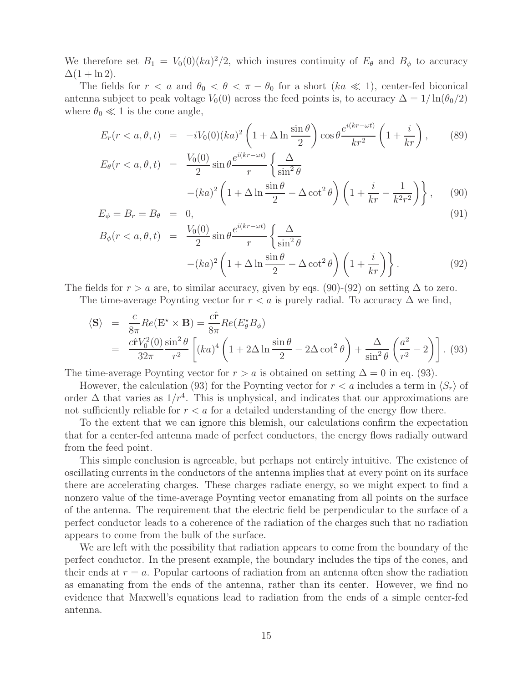We therefore set  $B_1 = V_0(0)(ka)^2/2$ , which insures continuity of  $E_\theta$  and  $B_\phi$  to accuracy  $\Delta(1 + \ln 2)$ .

The fields for  $r < a$  and  $\theta_0 < \theta < \pi - \theta_0$  for a short  $(ka \ll 1)$ , center-fed biconical antenna subject to peak voltage  $V_0(0)$  across the feed points is, to accuracy  $\Delta = 1/\ln(\theta_0/2)$ where  $\theta_0 \ll 1$  is the cone angle,

$$
E_r(r < a, \theta, t) = -iV_0(0)(ka)^2 \left(1 + \Delta \ln \frac{\sin \theta}{2}\right) \cos \theta \frac{e^{i(kr - \omega t)}}{kr^2} \left(1 + \frac{i}{kr}\right),\tag{89}
$$
\n
$$
V_0(0) = e^{i(kr - \omega t)} \left(\Delta\right)
$$

$$
E_{\theta}(r < a, \theta, t) = \frac{V_0(0)}{2} \sin \theta \frac{e^{i(kr - \omega t)}}{r} \left\{ \frac{\Delta}{\sin^2 \theta} - (ka)^2 \left( 1 + \Delta \ln \frac{\sin \theta}{2} - \Delta \cot^2 \theta \right) \left( 1 + \frac{i}{kr} - \frac{1}{k^2 r^2} \right) \right\}, \quad (90)
$$

$$
E_{\phi} = B_r = B_{\theta} = 0, \qquad \qquad \text{(91)}
$$

$$
B_{\phi}(r < a, \theta, t) = \frac{V_0(0)}{2} \sin \theta \frac{e^{i(kr - \omega t)}}{r} \left\{ \frac{\Delta}{\sin^2 \theta} - (ka)^2 \left( 1 + \Delta \ln \frac{\sin \theta}{2} - \Delta \cot^2 \theta \right) \left( 1 + \frac{i}{kr} \right) \right\}.
$$
 (92)

The fields for  $r > a$  are, to similar accuracy, given by eqs. (90)-(92) on setting  $\Delta$  to zero.

The time-average Poynting vector for  $r < a$  is purely radial. To accuracy  $\Delta$  we find,

$$
\langle \mathbf{S} \rangle = \frac{c}{8\pi} Re(\mathbf{E}^{\star} \times \mathbf{B}) = \frac{c\hat{\mathbf{r}}}{8\pi} Re(E_{\theta}^{\star} B_{\phi})
$$
  
= 
$$
\frac{c\hat{\mathbf{r}}V_0^2(0)}{32\pi} \frac{\sin^2 \theta}{r^2} \left[ (ka)^4 \left( 1 + 2\Delta \ln \frac{\sin \theta}{2} - 2\Delta \cot^2 \theta \right) + \frac{\Delta}{\sin^2 \theta} \left( \frac{a^2}{r^2} - 2 \right) \right].
$$
 (93)

The time-average Poynting vector for  $r>a$  is obtained on setting  $\Delta = 0$  in eq. (93).

However, the calculation (93) for the Poynting vector for  $r < a$  includes a term in  $\langle S_r \rangle$  of order  $\Delta$  that varies as  $1/r^4$ . This is unphysical, and indicates that our approximations are not sufficiently reliable for  $r < a$  for a detailed understanding of the energy flow there.

To the extent that we can ignore this blemish, our calculations confirm the expectation that for a center-fed antenna made of perfect conductors, the energy flows radially outward from the feed point.

This simple conclusion is agreeable, but perhaps not entirely intuitive. The existence of oscillating currents in the conductors of the antenna implies that at every point on its surface there are accelerating charges. These charges radiate energy, so we might expect to find a nonzero value of the time-average Poynting vector emanating from all points on the surface of the antenna. The requirement that the electric field be perpendicular to the surface of a perfect conductor leads to a coherence of the radiation of the charges such that no radiation appears to come from the bulk of the surface.

We are left with the possibility that radiation appears to come from the boundary of the perfect conductor. In the present example, the boundary includes the tips of the cones, and their ends at  $r = a$ . Popular cartoons of radiation from an antenna often show the radiation as emanating from the ends of the antenna, rather than its center. However, we find no evidence that Maxwell's equations lead to radiation from the ends of a simple center-fed antenna.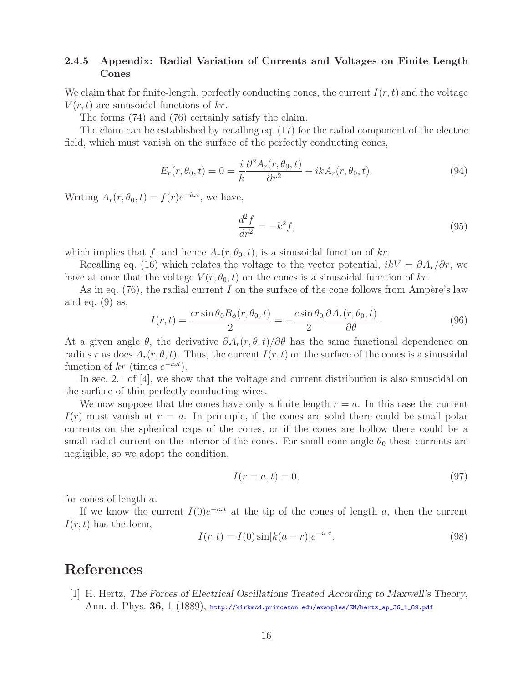## **2.4.5 Appendix: Radial Variation of Currents and Voltages on Finite Length Cones**

We claim that for finite-length, perfectly conducting cones, the current  $I(r, t)$  and the voltage  $V(r, t)$  are sinusoidal functions of kr.

The forms (74) and (76) certainly satisfy the claim.

The claim can be established by recalling eq. (17) for the radial component of the electric field, which must vanish on the surface of the perfectly conducting cones,

$$
E_r(r, \theta_0, t) = 0 = \frac{i}{k} \frac{\partial^2 A_r(r, \theta_0, t)}{\partial r^2} + ik A_r(r, \theta_0, t).
$$
\n(94)

Writing  $A_r(r, \theta_0, t) = f(r)e^{-i\omega t}$ , we have,

$$
\frac{d^2f}{dr^2} = -k^2f,\tag{95}
$$

which implies that f, and hence  $A_r(r, \theta_0, t)$ , is a sinusoidal function of kr.

Recalling eq. (16) which relates the voltage to the vector potential,  $ikV = \partial A_r/\partial r$ , we have at once that the voltage  $V(r, \theta_0, t)$  on the cones is a sinusoidal function of kr.

As in eq.  $(76)$ , the radial current I on the surface of the cone follows from Ampère's law and eq.  $(9)$  as,

$$
I(r,t) = \frac{cr\sin\theta_0 B_\phi(r,\theta_0,t)}{2} = -\frac{c\sin\theta_0}{2} \frac{\partial A_r(r,\theta_0,t)}{\partial \theta}.
$$
 (96)

At a given angle  $\theta$ , the derivative  $\partial A_r(r, \theta, t)/\partial \theta$  has the same functional dependence on radius r as does  $A_r(r, \theta, t)$ . Thus, the current  $I(r, t)$  on the surface of the cones is a sinusoidal function of kr (times  $e^{-i\omega t}$ ).

In sec. 2.1 of [4], we show that the voltage and current distribution is also sinusoidal on the surface of thin perfectly conducting wires.

We now suppose that the cones have only a finite length  $r = a$ . In this case the current  $I(r)$  must vanish at  $r = a$ . In principle, if the cones are solid there could be small polar currents on the spherical caps of the cones, or if the cones are hollow there could be a small radial current on the interior of the cones. For small cone angle  $\theta_0$  these currents are negligible, so we adopt the condition,

$$
I(r = a, t) = 0,\t\t(97)
$$

for cones of length a.

If we know the current  $I(0)e^{-i\omega t}$  at the tip of the cones of length a, then the current  $I(r, t)$  has the form,

$$
I(r,t) = I(0)\sin[k(a-r)]e^{-i\omega t}.
$$
\n(98)

# **References**

[1] H. Hertz, *The Forces of Electrical Oscillations Treated According to Maxwell's Theory*, Ann. d. Phys. **36**, 1 (1889), http://kirkmcd.princeton.edu/examples/EM/hertz\_ap\_36\_1\_89.pdf